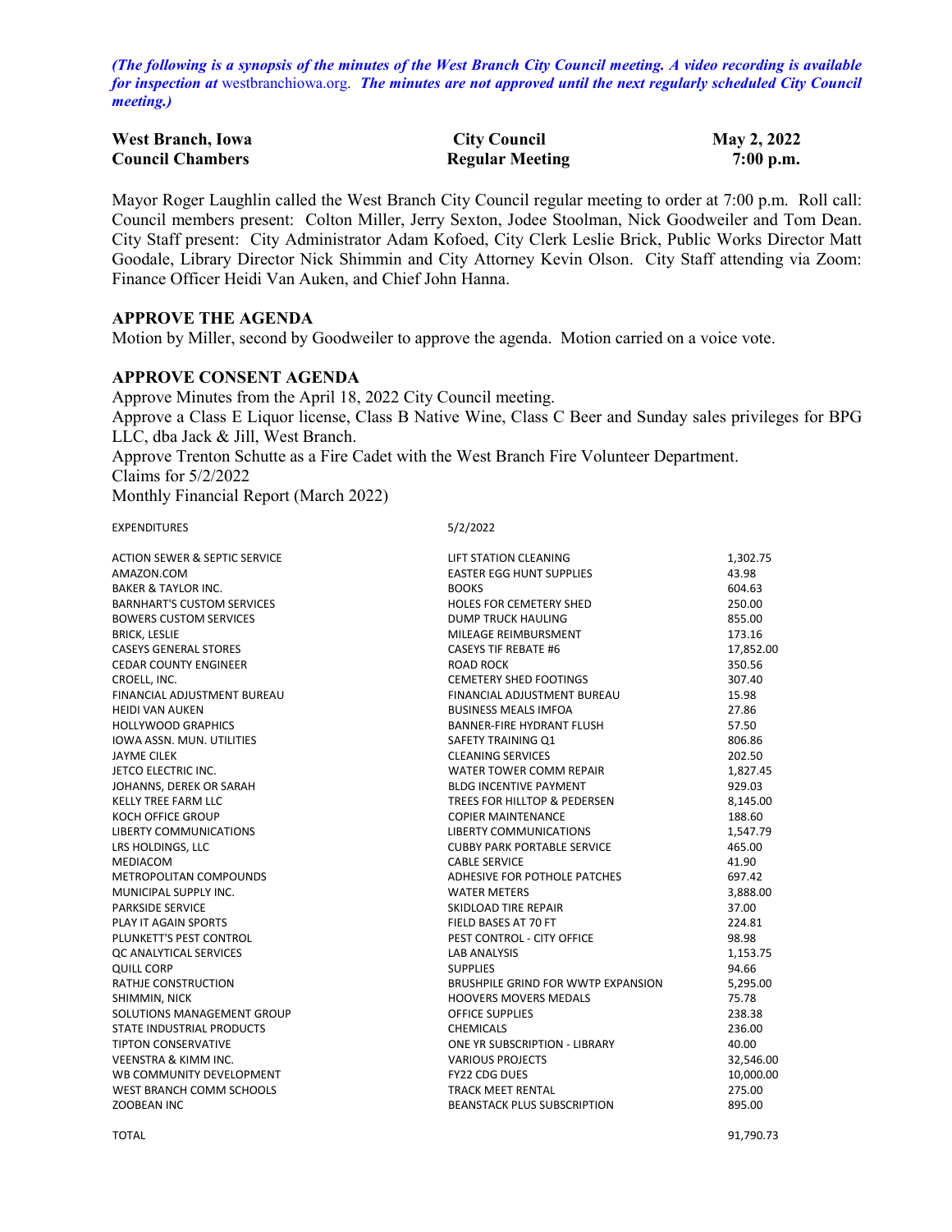*(The following is a synopsis of the minutes of the West Branch City Council meeting. A video recording is available for inspection at* [westbranchiowa.org.](https://westbranchiowa.org/city-of-west-branch/mayor-city-council/meetings/) *The minutes are not approved until the next regularly scheduled City Council meeting.)*

| <b>West Branch, Iowa</b> | <b>City Council</b>    | May 2, 2022 |
|--------------------------|------------------------|-------------|
| <b>Council Chambers</b>  | <b>Regular Meeting</b> | $7:00$ p.m. |

Mayor Roger Laughlin called the West Branch City Council regular meeting to order at 7:00 p.m. Roll call: Council members present: Colton Miller, Jerry Sexton, Jodee Stoolman, Nick Goodweiler and Tom Dean. City Staff present: City Administrator Adam Kofoed, City Clerk Leslie Brick, Public Works Director Matt Goodale, Library Director Nick Shimmin and City Attorney Kevin Olson. City Staff attending via Zoom: Finance Officer Heidi Van Auken, and Chief John Hanna.

#### **APPROVE THE AGENDA**

Motion by Miller, second by Goodweiler to approve the agenda. Motion carried on a voice vote.

#### **APPROVE CONSENT AGENDA**

Approve Minutes from the April 18, 2022 City Council meeting. Approve a Class E Liquor license, Class B Native Wine, Class C Beer and Sunday sales privileges for BPG LLC, dba Jack & Jill, West Branch. Approve Trenton Schutte as a Fire Cadet with the West Branch Fire Volunteer Department. Claims for 5/2/2022

Monthly Financial Report (March 2022)

EXPENDITURES 5/2/2022

| <b>ACTION SEWER &amp; SEPTIC SERVICE</b> | LIFT STATION CLEANING              | 1,302.75  |
|------------------------------------------|------------------------------------|-----------|
| AMAZON.COM                               | <b>EASTER EGG HUNT SUPPLIES</b>    | 43.98     |
| <b>BAKER &amp; TAYLOR INC.</b>           | <b>BOOKS</b>                       | 604.63    |
| <b>BARNHART'S CUSTOM SERVICES</b>        | <b>HOLES FOR CEMETERY SHED</b>     | 250.00    |
| <b>BOWERS CUSTOM SERVICES</b>            | <b>DUMP TRUCK HAULING</b>          | 855.00    |
| <b>BRICK, LESLIE</b>                     | MILEAGE REIMBURSMENT               | 173.16    |
| <b>CASEYS GENERAL STORES</b>             | <b>CASEYS TIF REBATE #6</b>        | 17,852.00 |
| <b>CEDAR COUNTY ENGINEER</b>             | <b>ROAD ROCK</b>                   | 350.56    |
| CROELL, INC.                             | <b>CEMETERY SHED FOOTINGS</b>      | 307.40    |
| FINANCIAL ADJUSTMENT BUREAU              | FINANCIAL ADJUSTMENT BUREAU        | 15.98     |
| <b>HEIDI VAN AUKEN</b>                   | <b>BUSINESS MEALS IMFOA</b>        | 27.86     |
| <b>HOLLYWOOD GRAPHICS</b>                | BANNER-FIRE HYDRANT FLUSH          | 57.50     |
| <b>IOWA ASSN. MUN. UTILITIES</b>         | SAFETY TRAINING Q1                 | 806.86    |
| <b>JAYME CILEK</b>                       | <b>CLEANING SERVICES</b>           | 202.50    |
| JETCO ELECTRIC INC.                      | WATER TOWER COMM REPAIR            | 1,827.45  |
| JOHANNS, DEREK OR SARAH                  | <b>BLDG INCENTIVE PAYMENT</b>      | 929.03    |
| <b>KELLY TREE FARM LLC</b>               | TREES FOR HILLTOP & PEDERSEN       | 8,145.00  |
| KOCH OFFICE GROUP                        | <b>COPIER MAINTENANCE</b>          | 188.60    |
| <b>LIBERTY COMMUNICATIONS</b>            | LIBERTY COMMUNICATIONS             | 1,547.79  |
| LRS HOLDINGS, LLC                        | <b>CUBBY PARK PORTABLE SERVICE</b> | 465.00    |
| MEDIACOM                                 | <b>CABLE SERVICE</b>               | 41.90     |
| METROPOLITAN COMPOUNDS                   | ADHESIVE FOR POTHOLE PATCHES       | 697.42    |
| MUNICIPAL SUPPLY INC.                    | <b>WATER METERS</b>                | 3,888.00  |
| <b>PARKSIDE SERVICE</b>                  | SKIDLOAD TIRE REPAIR               | 37.00     |
| <b>PLAY IT AGAIN SPORTS</b>              | FIELD BASES AT 70 FT               | 224.81    |
| PLUNKETT'S PEST CONTROL                  | PEST CONTROL - CITY OFFICE         | 98.98     |
| <b>QC ANALYTICAL SERVICES</b>            | <b>LAB ANALYSIS</b>                | 1,153.75  |
| <b>QUILL CORP</b>                        | <b>SUPPLIES</b>                    | 94.66     |
| <b>RATHJE CONSTRUCTION</b>               | BRUSHPILE GRIND FOR WWTP EXPANSION | 5,295.00  |
| SHIMMIN, NICK                            | <b>HOOVERS MOVERS MEDALS</b>       | 75.78     |
| SOLUTIONS MANAGEMENT GROUP               | <b>OFFICE SUPPLIES</b>             | 238.38    |
| STATE INDUSTRIAL PRODUCTS                | <b>CHEMICALS</b>                   | 236.00    |
| <b>TIPTON CONSERVATIVE</b>               | ONE YR SUBSCRIPTION - LIBRARY      | 40.00     |
| <b>VEENSTRA &amp; KIMM INC.</b>          | <b>VARIOUS PROJECTS</b>            | 32,546.00 |
| WB COMMUNITY DEVELOPMENT                 | <b>FY22 CDG DUES</b>               | 10,000.00 |
| WEST BRANCH COMM SCHOOLS                 | <b>TRACK MEET RENTAL</b>           | 275.00    |
| <b>ZOOBEAN INC</b>                       | <b>BEANSTACK PLUS SUBSCRIPTION</b> | 895.00    |
|                                          |                                    |           |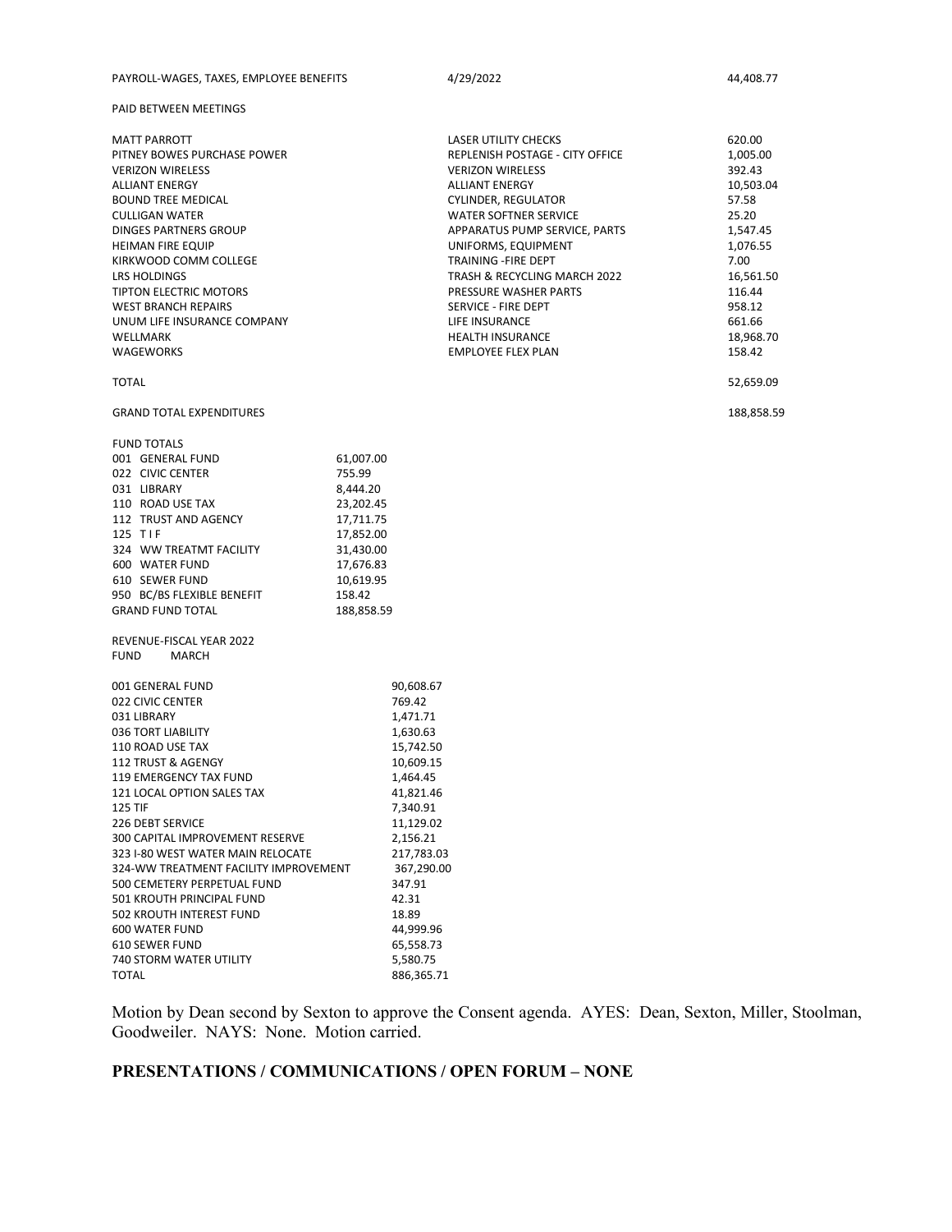|  | PAYROLL-WAGES. TAXES. EMPLOYEE BENEFITS | 4/29/2022 | 44.408.77 |
|--|-----------------------------------------|-----------|-----------|
|--|-----------------------------------------|-----------|-----------|

PAID BETWEEN MEETINGS

| <b>MATT PARROTT</b><br>PITNEY BOWES PURCHASE POWER<br><b>VERIZON WIRELESS</b><br><b>ALLIANT ENERGY</b><br><b>BOUND TREE MEDICAL</b><br><b>CULLIGAN WATER</b><br><b>DINGES PARTNERS GROUP</b><br><b>HEIMAN FIRE EQUIP</b><br>KIRKWOOD COMM COLLEGE<br>LRS HOLDINGS<br>TIPTON ELECTRIC MOTORS<br><b>WEST BRANCH REPAIRS</b><br>UNUM LIFE INSURANCE COMPANY<br>WELLMARK<br><b>WAGEWORKS</b>                                                                                                                         |                                                                                                                                                                                                                                                 | <b>LASER UTILITY CHECKS</b><br><b>REPLENISH POSTAGE - CITY OFFICE</b><br><b>VERIZON WIRELESS</b><br><b>ALLIANT ENERGY</b><br>CYLINDER, REGULATOR<br><b>WATER SOFTNER SERVICE</b><br>APPARATUS PUMP SERVICE, PARTS<br>UNIFORMS, EQUIPMENT<br>TRAINING - FIRE DEPT<br>TRASH & RECYCLING MARCH 2022<br>PRESSURE WASHER PARTS<br>SERVICE - FIRE DEPT<br>LIFE INSURANCE<br><b>HEALTH INSURANCE</b><br><b>EMPLOYEE FLEX PLAN</b> | 620.00<br>1,005.00<br>392.43<br>10,503.04<br>57.58<br>25.20<br>1,547.45<br>1,076.55<br>7.00<br>16,561.50<br>116.44<br>958.12<br>661.66<br>18,968.70<br>158.42 |
|------------------------------------------------------------------------------------------------------------------------------------------------------------------------------------------------------------------------------------------------------------------------------------------------------------------------------------------------------------------------------------------------------------------------------------------------------------------------------------------------------------------|-------------------------------------------------------------------------------------------------------------------------------------------------------------------------------------------------------------------------------------------------|----------------------------------------------------------------------------------------------------------------------------------------------------------------------------------------------------------------------------------------------------------------------------------------------------------------------------------------------------------------------------------------------------------------------------|---------------------------------------------------------------------------------------------------------------------------------------------------------------|
| <b>TOTAL</b>                                                                                                                                                                                                                                                                                                                                                                                                                                                                                                     |                                                                                                                                                                                                                                                 |                                                                                                                                                                                                                                                                                                                                                                                                                            | 52,659.09                                                                                                                                                     |
| <b>GRAND TOTAL EXPENDITURES</b>                                                                                                                                                                                                                                                                                                                                                                                                                                                                                  |                                                                                                                                                                                                                                                 |                                                                                                                                                                                                                                                                                                                                                                                                                            | 188,858.59                                                                                                                                                    |
| <b>FUND TOTALS</b><br>001 GENERAL FUND<br>022 CIVIC CENTER<br>031 LIBRARY<br>110 ROAD USE TAX<br>112 TRUST AND AGENCY<br>125 TIF<br>324 WW TREATMT FACILITY<br>600 WATER FUND<br>610 SEWER FUND<br>950 BC/BS FLEXIBLE BENEFIT<br><b>GRAND FUND TOTAL</b><br>REVENUE-FISCAL YEAR 2022<br><b>FUND</b><br><b>MARCH</b>                                                                                                                                                                                              | 61,007.00<br>755.99<br>8,444.20<br>23,202.45<br>17,711.75<br>17,852.00<br>31,430.00<br>17,676.83<br>10,619.95<br>158.42<br>188,858.59                                                                                                           |                                                                                                                                                                                                                                                                                                                                                                                                                            |                                                                                                                                                               |
| 001 GENERAL FUND<br>022 CIVIC CENTER<br>031 LIBRARY<br>036 TORT LIABILITY<br>110 ROAD USE TAX<br>112 TRUST & AGENGY<br>119 EMERGENCY TAX FUND<br>121 LOCAL OPTION SALES TAX<br><b>125 TIF</b><br>226 DEBT SERVICE<br>300 CAPITAL IMPROVEMENT RESERVE<br>323 I-80 WEST WATER MAIN RELOCATE<br>324-WW TREATMENT FACILITY IMPROVEMENT<br>500 CEMETERY PERPETUAL FUND<br>501 KROUTH PRINCIPAL FUND<br>502 KROUTH INTEREST FUND<br><b>600 WATER FUND</b><br>610 SEWER FUND<br>740 STORM WATER UTILITY<br><b>TOTAL</b> | 90,608.67<br>769.42<br>1,471.71<br>1,630.63<br>15,742.50<br>10,609.15<br>1,464.45<br>41,821.46<br>7,340.91<br>11,129.02<br>2,156.21<br>217,783.03<br>367,290.00<br>347.91<br>42.31<br>18.89<br>44,999.96<br>65,558.73<br>5,580.75<br>886,365.71 |                                                                                                                                                                                                                                                                                                                                                                                                                            |                                                                                                                                                               |

Motion by Dean second by Sexton to approve the Consent agenda. AYES: Dean, Sexton, Miller, Stoolman, Goodweiler. NAYS: None. Motion carried.

# **PRESENTATIONS / COMMUNICATIONS / OPEN FORUM – NONE**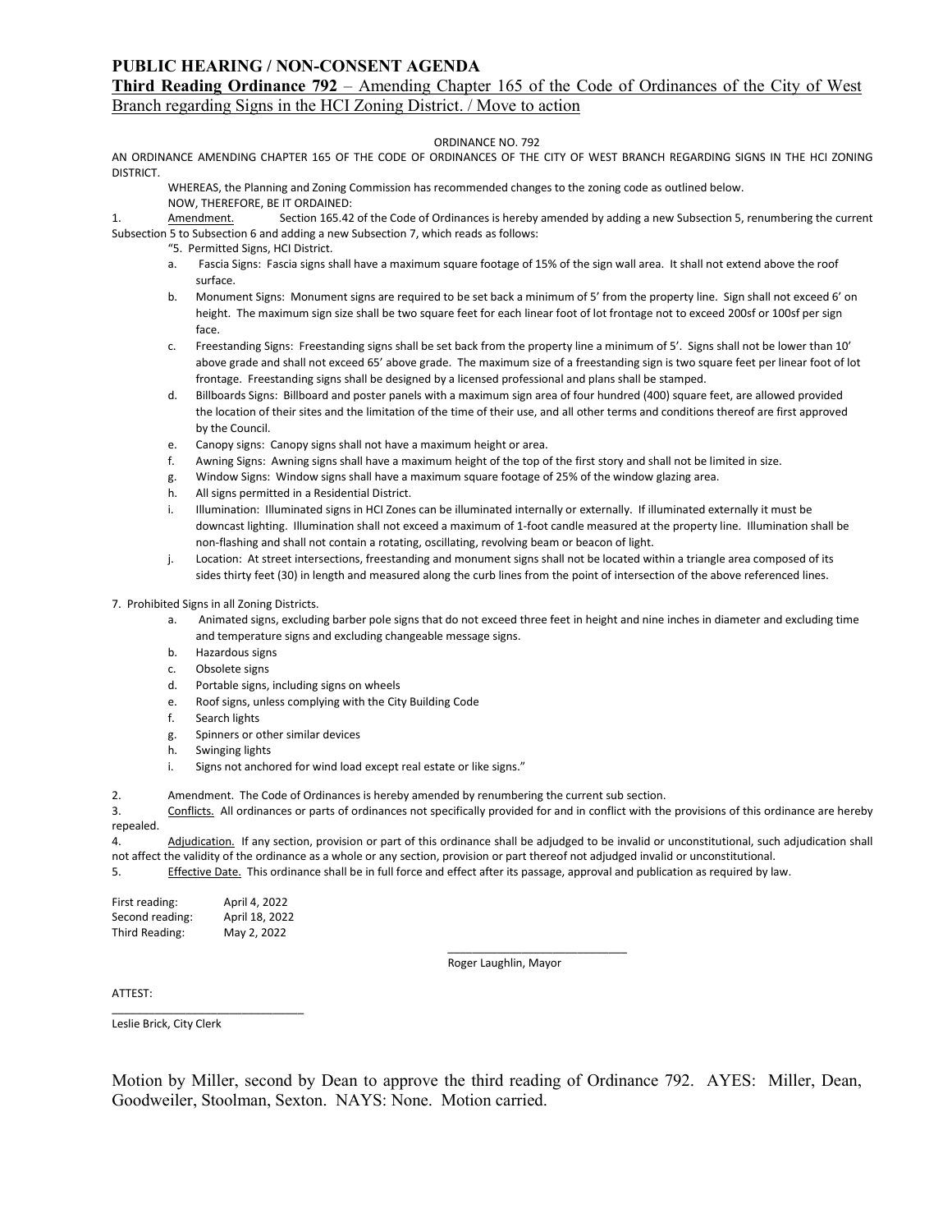#### **PUBLIC HEARING / NON-CONSENT AGENDA**

### **Third Reading Ordinance 792** – Amending Chapter 165 of the Code of Ordinances of the City of West Branch regarding Signs in the HCI Zoning District. / Move to action

#### ORDINANCE NO. 792

AN ORDINANCE AMENDING CHAPTER 165 OF THE CODE OF ORDINANCES OF THE CITY OF WEST BRANCH REGARDING SIGNS IN THE HCI ZONING DISTRICT.

WHEREAS, the Planning and Zoning Commission has recommended changes to the zoning code as outlined below.

NOW, THEREFORE, BE IT ORDAINED:

1. Amendment. Section 165.42 of the Code of Ordinances is hereby amended by adding a new Subsection 5, renumbering the current Subsection 5 to Subsection 6 and adding a new Subsection 7, which reads as follows:

- "5. Permitted Signs, HCI District.
- a. Fascia Signs: Fascia signs shall have a maximum square footage of 15% of the sign wall area. It shall not extend above the roof surface.
- b. Monument Signs: Monument signs are required to be set back a minimum of 5' from the property line. Sign shall not exceed 6' on height. The maximum sign size shall be two square feet for each linear foot of lot frontage not to exceed 200sf or 100sf per sign face.
- c. Freestanding Signs: Freestanding signs shall be set back from the property line a minimum of 5'. Signs shall not be lower than 10' above grade and shall not exceed 65' above grade. The maximum size of a freestanding sign is two square feet per linear foot of lot frontage. Freestanding signs shall be designed by a licensed professional and plans shall be stamped.
- d. Billboards Signs: Billboard and poster panels with a maximum sign area of four hundred (400) square feet, are allowed provided the location of their sites and the limitation of the time of their use, and all other terms and conditions thereof are first approved by the Council.
- e. Canopy signs: Canopy signs shall not have a maximum height or area.
- f. Awning Signs: Awning signs shall have a maximum height of the top of the first story and shall not be limited in size.
- g. Window Signs: Window signs shall have a maximum square footage of 25% of the window glazing area.
- h. All signs permitted in a Residential District.
- i. Illumination: Illuminated signs in HCI Zones can be illuminated internally or externally. If illuminated externally it must be downcast lighting. Illumination shall not exceed a maximum of 1-foot candle measured at the property line. Illumination shall be non-flashing and shall not contain a rotating, oscillating, revolving beam or beacon of light.
- j. Location: At street intersections, freestanding and monument signs shall not be located within a triangle area composed of its sides thirty feet (30) in length and measured along the curb lines from the point of intersection of the above referenced lines.

7. Prohibited Signs in all Zoning Districts.

- a. Animated signs, excluding barber pole signs that do not exceed three feet in height and nine inches in diameter and excluding time and temperature signs and excluding changeable message signs.
- b. Hazardous signs
- c. Obsolete signs
- d. Portable signs, including signs on wheels
- e. Roof signs, unless complying with the City Building Code
- f. Search lights
- g. Spinners or other similar devices
- h. Swinging lights
- i. Signs not anchored for wind load except real estate or like signs."

2. Amendment. The Code of Ordinances is hereby amended by renumbering the current sub section.

3. Conflicts. All ordinances or parts of ordinances not specifically provided for and in conflict with the provisions of this ordinance are hereby repealed.

4. Adjudication. If any section, provision or part of this ordinance shall be adjudged to be invalid or unconstitutional, such adjudication shall not affect the validity of the ordinance as a whole or any section, provision or part thereof not adjudged invalid or unconstitutional.

5. Effective Date. This ordinance shall be in full force and effect after its passage, approval and publication as required by law.

| First reading:  | April 4, 2022  |
|-----------------|----------------|
| Second reading: | April 18, 2022 |
| Third Reading:  | May 2, 2022    |

\_\_\_\_\_\_\_\_\_\_\_\_\_\_\_\_\_\_\_\_\_\_\_\_\_\_\_\_\_\_\_

Roger Laughlin, Mayor

\_\_\_\_\_\_\_\_\_\_\_\_\_\_\_\_\_\_\_\_\_\_\_\_\_\_\_\_\_

ATTEST:

Leslie Brick, City Clerk

Motion by Miller, second by Dean to approve the third reading of Ordinance 792. AYES: Miller, Dean, Goodweiler, Stoolman, Sexton. NAYS: None. Motion carried.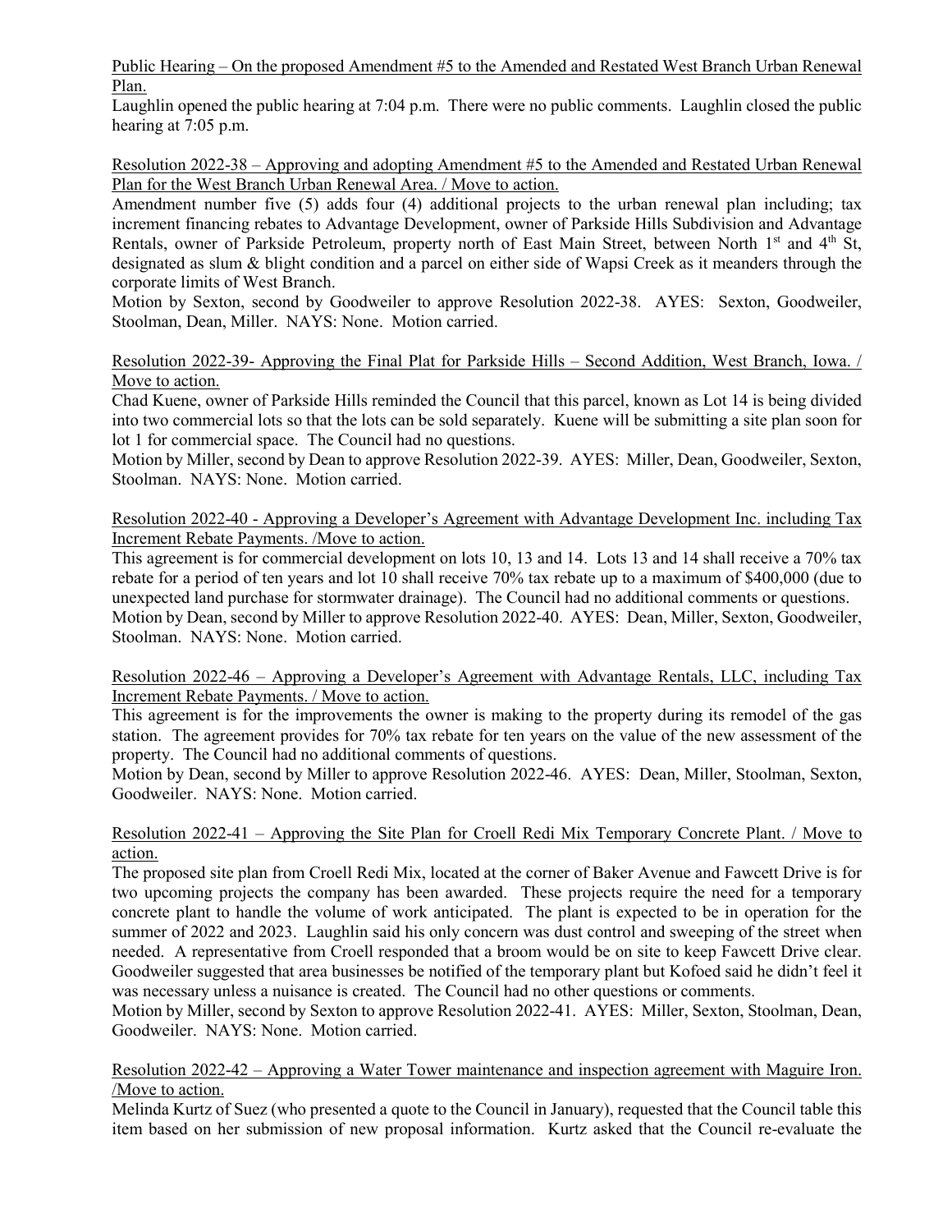Public Hearing – On the proposed Amendment #5 to the Amended and Restated West Branch Urban Renewal Plan.

Laughlin opened the public hearing at 7:04 p.m. There were no public comments. Laughlin closed the public hearing at  $7:05$  p.m.

Resolution 2022-38 – Approving and adopting Amendment #5 to the Amended and Restated Urban Renewal Plan for the West Branch Urban Renewal Area. / Move to action.

Amendment number five (5) adds four (4) additional projects to the urban renewal plan including; tax increment financing rebates to Advantage Development, owner of Parkside Hills Subdivision and Advantage Rentals, owner of Parkside Petroleum, property north of East Main Street, between North 1<sup>st</sup> and 4<sup>th</sup> St, designated as slum & blight condition and a parcel on either side of Wapsi Creek as it meanders through the corporate limits of West Branch.

Motion by Sexton, second by Goodweiler to approve Resolution 2022-38. AYES: Sexton, Goodweiler, Stoolman, Dean, Miller. NAYS: None. Motion carried.

## Resolution 2022-39- Approving the Final Plat for Parkside Hills – Second Addition, West Branch, Iowa. / Move to action.

Chad Kuene, owner of Parkside Hills reminded the Council that this parcel, known as Lot 14 is being divided into two commercial lots so that the lots can be sold separately. Kuene will be submitting a site plan soon for lot 1 for commercial space. The Council had no questions.

Motion by Miller, second by Dean to approve Resolution 2022-39. AYES: Miller, Dean, Goodweiler, Sexton, Stoolman. NAYS: None. Motion carried.

Resolution 2022-40 - Approving a Developer's Agreement with Advantage Development Inc. including Tax Increment Rebate Payments. /Move to action.

This agreement is for commercial development on lots 10, 13 and 14. Lots 13 and 14 shall receive a 70% tax rebate for a period of ten years and lot 10 shall receive 70% tax rebate up to a maximum of \$400,000 (due to unexpected land purchase for stormwater drainage). The Council had no additional comments or questions. Motion by Dean, second by Miller to approve Resolution 2022-40. AYES: Dean, Miller, Sexton, Goodweiler, Stoolman. NAYS: None. Motion carried.

Resolution 2022-46 – Approving a Developer's Agreement with Advantage Rentals, LLC, including Tax Increment Rebate Payments. / Move to action.

This agreement is for the improvements the owner is making to the property during its remodel of the gas station. The agreement provides for 70% tax rebate for ten years on the value of the new assessment of the property. The Council had no additional comments of questions.

Motion by Dean, second by Miller to approve Resolution 2022-46. AYES: Dean, Miller, Stoolman, Sexton, Goodweiler. NAYS: None. Motion carried.

## Resolution 2022-41 – Approving the Site Plan for Croell Redi Mix Temporary Concrete Plant. / Move to action.

The proposed site plan from Croell Redi Mix, located at the corner of Baker Avenue and Fawcett Drive is for two upcoming projects the company has been awarded. These projects require the need for a temporary concrete plant to handle the volume of work anticipated. The plant is expected to be in operation for the summer of 2022 and 2023. Laughlin said his only concern was dust control and sweeping of the street when needed. A representative from Croell responded that a broom would be on site to keep Fawcett Drive clear. Goodweiler suggested that area businesses be notified of the temporary plant but Kofoed said he didn't feel it was necessary unless a nuisance is created. The Council had no other questions or comments.

Motion by Miller, second by Sexton to approve Resolution 2022-41. AYES: Miller, Sexton, Stoolman, Dean, Goodweiler. NAYS: None. Motion carried.

## Resolution 2022-42 – Approving a Water Tower maintenance and inspection agreement with Maguire Iron. /Move to action.

Melinda Kurtz of Suez (who presented a quote to the Council in January), requested that the Council table this item based on her submission of new proposal information. Kurtz asked that the Council re-evaluate the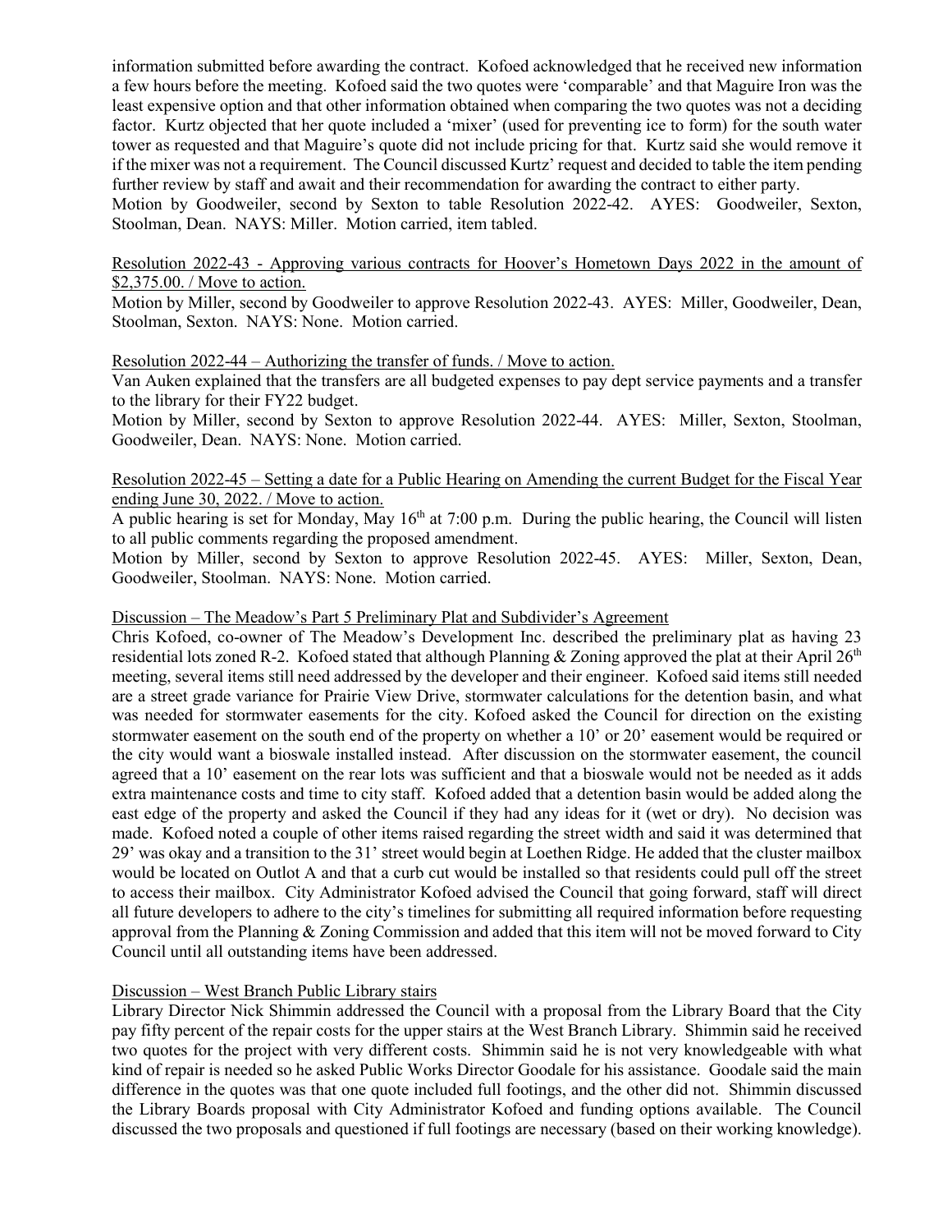information submitted before awarding the contract. Kofoed acknowledged that he received new information a few hours before the meeting. Kofoed said the two quotes were 'comparable' and that Maguire Iron was the least expensive option and that other information obtained when comparing the two quotes was not a deciding factor. Kurtz objected that her quote included a 'mixer' (used for preventing ice to form) for the south water tower as requested and that Maguire's quote did not include pricing for that. Kurtz said she would remove it if the mixer was not a requirement. The Council discussed Kurtz' request and decided to table the item pending further review by staff and await and their recommendation for awarding the contract to either party.

Motion by Goodweiler, second by Sexton to table Resolution 2022-42. AYES: Goodweiler, Sexton, Stoolman, Dean. NAYS: Miller. Motion carried, item tabled.

Resolution 2022-43 - Approving various contracts for Hoover's Hometown Days 2022 in the amount of \$2,375.00. / Move to action.

Motion by Miller, second by Goodweiler to approve Resolution 2022-43. AYES: Miller, Goodweiler, Dean, Stoolman, Sexton. NAYS: None. Motion carried.

#### Resolution 2022-44 – Authorizing the transfer of funds. / Move to action.

Van Auken explained that the transfers are all budgeted expenses to pay dept service payments and a transfer to the library for their FY22 budget.

Motion by Miller, second by Sexton to approve Resolution 2022-44. AYES: Miller, Sexton, Stoolman, Goodweiler, Dean. NAYS: None. Motion carried.

## Resolution 2022-45 – Setting a date for a Public Hearing on Amending the current Budget for the Fiscal Year ending June 30, 2022. / Move to action.

A public hearing is set for Monday, May  $16<sup>th</sup>$  at 7:00 p.m. During the public hearing, the Council will listen to all public comments regarding the proposed amendment.

Motion by Miller, second by Sexton to approve Resolution 2022-45. AYES: Miller, Sexton, Dean, Goodweiler, Stoolman. NAYS: None. Motion carried.

#### Discussion – The Meadow's Part 5 Preliminary Plat and Subdivider's Agreement

Chris Kofoed, co-owner of The Meadow's Development Inc. described the preliminary plat as having 23 residential lots zoned R-2. Kofoed stated that although Planning & Zoning approved the plat at their April  $26<sup>th</sup>$ meeting, several items still need addressed by the developer and their engineer. Kofoed said items still needed are a street grade variance for Prairie View Drive, stormwater calculations for the detention basin, and what was needed for stormwater easements for the city. Kofoed asked the Council for direction on the existing stormwater easement on the south end of the property on whether a 10' or 20' easement would be required or the city would want a bioswale installed instead. After discussion on the stormwater easement, the council agreed that a 10' easement on the rear lots was sufficient and that a bioswale would not be needed as it adds extra maintenance costs and time to city staff. Kofoed added that a detention basin would be added along the east edge of the property and asked the Council if they had any ideas for it (wet or dry). No decision was made. Kofoed noted a couple of other items raised regarding the street width and said it was determined that 29' was okay and a transition to the 31' street would begin at Loethen Ridge. He added that the cluster mailbox would be located on Outlot A and that a curb cut would be installed so that residents could pull off the street to access their mailbox. City Administrator Kofoed advised the Council that going forward, staff will direct all future developers to adhere to the city's timelines for submitting all required information before requesting approval from the Planning & Zoning Commission and added that this item will not be moved forward to City Council until all outstanding items have been addressed.

## Discussion – West Branch Public Library stairs

Library Director Nick Shimmin addressed the Council with a proposal from the Library Board that the City pay fifty percent of the repair costs for the upper stairs at the West Branch Library. Shimmin said he received two quotes for the project with very different costs. Shimmin said he is not very knowledgeable with what kind of repair is needed so he asked Public Works Director Goodale for his assistance. Goodale said the main difference in the quotes was that one quote included full footings, and the other did not. Shimmin discussed the Library Boards proposal with City Administrator Kofoed and funding options available. The Council discussed the two proposals and questioned if full footings are necessary (based on their working knowledge).